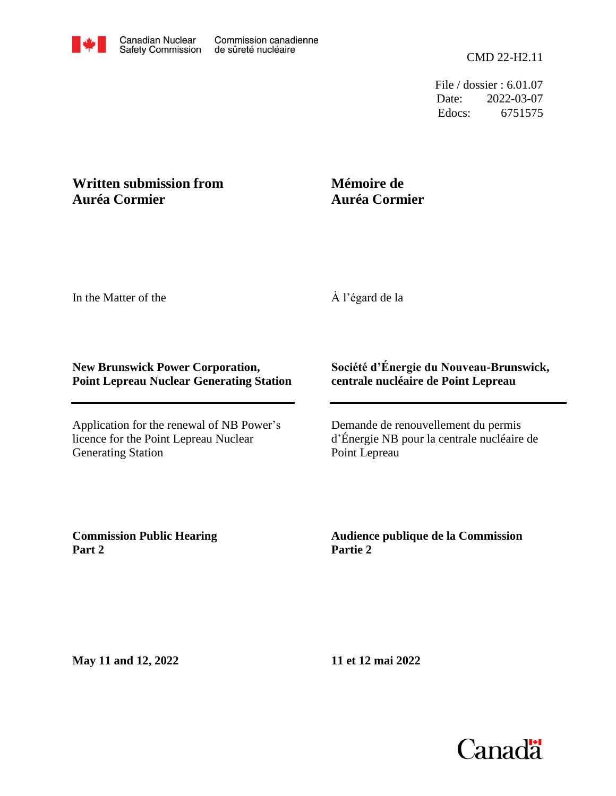File / dossier : 6.01.07 Date: 2022-03-07 Edocs: 6751575

## **Written submission from Auréa Cormier**

## **Mémoire de Auréa Cormier**

In the Matter of the

À l'égard de la

## **New Brunswick Power Corporation, Point Lepreau Nuclear Generating Station**

Application for the renewal of NB Power's licence for the Point Lepreau Nuclear Generating Station

## **Société d'Énergie du Nouveau-Brunswick, centrale nucléaire de Point Lepreau**

Demande de renouvellement du permis d'Énergie NB pour la centrale nucléaire de Point Lepreau

**Commission Public Hearing Part 2**

**Audience publique de la Commission Partie 2**

**May 11 and 12, 2022**

**11 et 12 mai 2022**